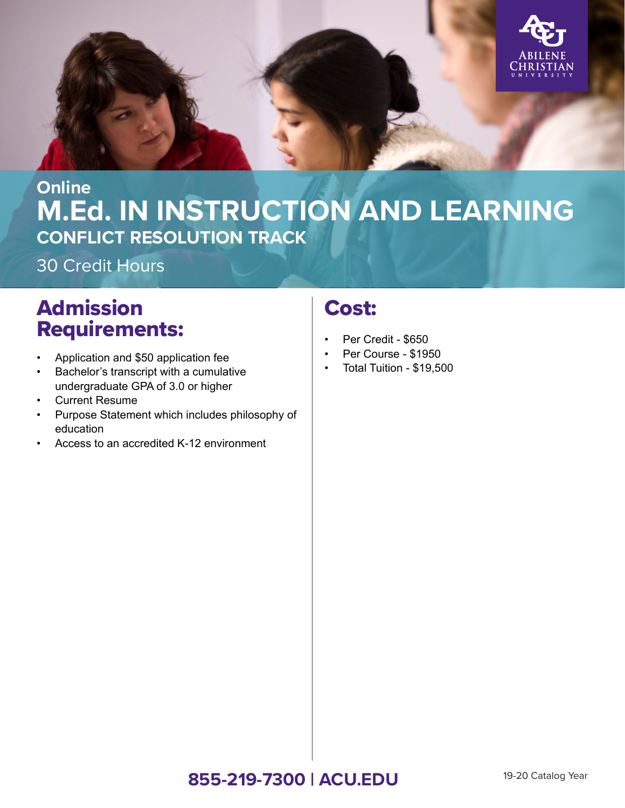

## **M.Ed. IN INSTRUCTION AND LEARNING Online CONFLICT RESOLUTION TRACK**

30 Credit Hours

# Admission Requirements:

- Application and \$50 application fee
- Bachelor's transcript with a cumulative undergraduate GPA of 3.0 or higher
- Current Resume
- Purpose Statement which includes philosophy of education
- Access to an accredited K-12 environment

## Cost:

- Per Credit \$650
- Per Course \$1950
- Total Tuition \$19,500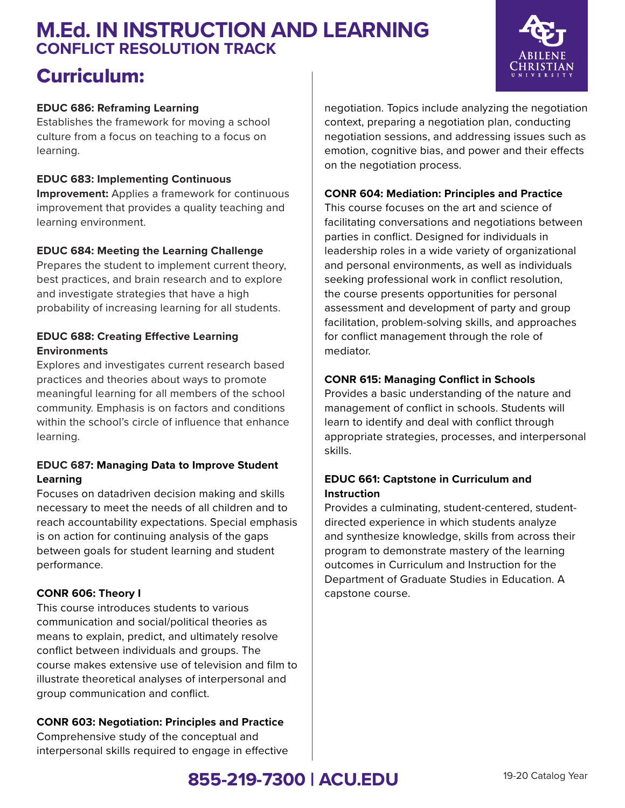## **M.Ed. IN INSTRUCTION AND LEARNING CONFLICT RESOLUTION TRACK**

## Curriculum:

### **EDUC 686: Reframing Learning**

Establishes the framework for moving a school culture from a focus on teaching to a focus on learning.

### **EDUC 683: Implementing Continuous**

**Improvement:** Applies a framework for continuous improvement that provides a quality teaching and learning environment.

### **EDUC 684: Meeting the Learning Challenge**

Prepares the student to implement current theory, best practices, and brain research and to explore and investigate strategies that have a high probability of increasing learning for all students.

### **EDUC 688: Creating Effective Learning Environments**

Explores and investigates current research based practices and theories about ways to promote meaningful learning for all members of the school community. Emphasis is on factors and conditions within the school's circle of influence that enhance learning.

### **EDUC 687: Managing Data to Improve Student Learning**

Focuses on datadriven decision making and skills necessary to meet the needs of all children and to reach accountability expectations. Special emphasis is on action for continuing analysis of the gaps between goals for student learning and student performance.

### **CONR 606: Theory I**

This course introduces students to various communication and social/political theories as means to explain, predict, and ultimately resolve conflict between individuals and groups. The course makes extensive use of television and film to illustrate theoretical analyses of interpersonal and group communication and conflict.

### **CONR 603: Negotiation: Principles and Practice**

Comprehensive study of the conceptual and interpersonal skills required to engage in effective negotiation. Topics include analyzing the negotiation context, preparing a negotiation plan, conducting negotiation sessions, and addressing issues such as emotion, cognitive bias, and power and their effects on the negotiation process.

#### **CONR 604: Mediation: Principles and Practice**

This course focuses on the art and science of facilitating conversations and negotiations between parties in conflict. Designed for individuals in leadership roles in a wide variety of organizational and personal environments, as well as individuals seeking professional work in conflict resolution, the course presents opportunities for personal assessment and development of party and group facilitation, problem-solving skills, and approaches for conflict management through the role of mediator.

### **CONR 615: Managing Conflict in Schools**

Provides a basic understanding of the nature and management of conflict in schools. Students will learn to identify and deal with conflict through appropriate strategies, processes, and interpersonal skills.

### **EDUC 661: Captstone in Curriculum and Instruction**

Provides a culminating, student-centered, studentdirected experience in which students analyze and synthesize knowledge, skills from across their program to demonstrate mastery of the learning outcomes in Curriculum and Instruction for the Department of Graduate Studies in Education. A capstone course.



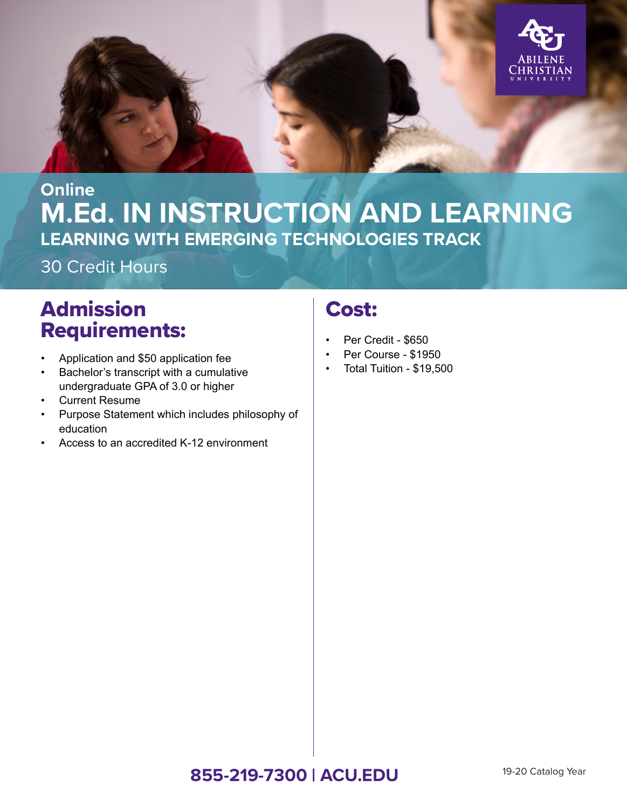

# **M.Ed. IN INSTRUCTION AND LEARNING Online LEARNING WITH EMERGING TECHNOLOGIES TRACK**

30 Credit Hours

# Admission Requirements:

- Application and \$50 application fee
- Bachelor's transcript with a cumulative undergraduate GPA of 3.0 or higher
- **Current Resume**
- Purpose Statement which includes philosophy of education
- Access to an accredited K-12 environment

## Cost:

- Per Credit \$650
- Per Course \$1950
- Total Tuition \$19,500